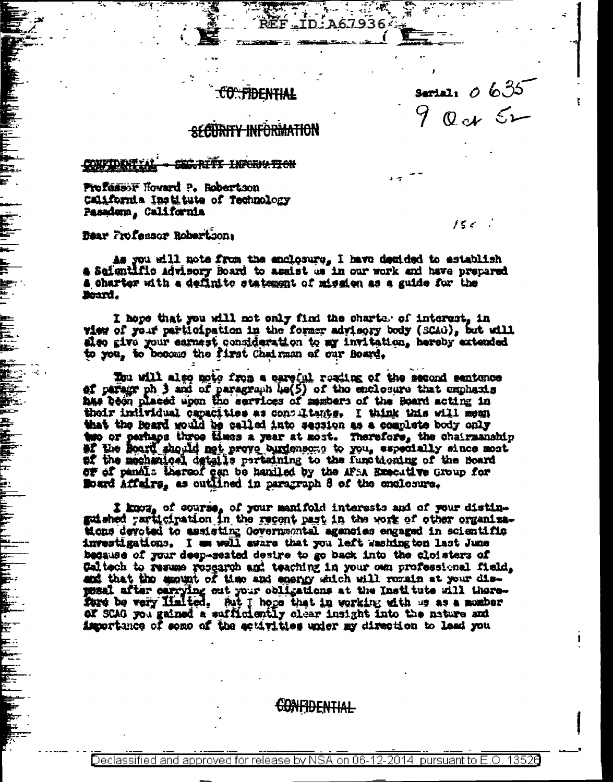# c<del>o: fidential</del>

Serial:  $0.635$  $Q_{c}$   $\leq$ 

バンドー

# **SECURITY INFORMATION**

#### **TOWAT DENT SECRITY INFORMATION**

Professor Howard P. Robertson California Institute of Technology Pasadema, California

Dear Frofessor Robertson:

As you will note from the enclosure, I have decided to establish a Soigntific Advisory Board to assist us in our work and have prepared a charter with a definite statement of mission as a guide for the Beard.

ىللە

I hope that you will not only find the charts, of interest, in view of your participation in the former advisory body (SCAO), but will also give your earnest consideration to my invitation, hereby extended to you, to become the first Chairman of our Board.

Tou will also note from a careful reading of the second sentence of paragr ph 3 and of paragraph 40(5) of the enclosure that emphasis has been placed upon the services of mambers of the Board acting in their individual capacities as consultants. I think this will mean that the Board would be salled into secsion as a complete body only two or perhaps three times a year at most. Therefore, the chairmanship af the mechanical details pertaining to the functioning of the Board of of pandis thereof can be haniled by the AFSA Executive Group for Sound Affairs, as outlined in paragraph 8 of the enclosure.

t know of course, of your manifold interests and of your distin-<br>guished participation in the recent past in the work of other organizations devoted to assisting Governmental agencies engaged in scientific investigations. I am well aware that you left washing ton last June because of your deep-seated desige to go back into the cloisters of Caltech to resume research and teaching in your own professional field, and that the amount of time and energy which will remain at your disposal after carrying out your collgations at the Institute will thereford be very Halted. Aut I hoge that in working with us as a momber of SCAG you gained a sufficiently clear insight into the nature and importance of some of the eculvities under my direction to lead you

<del>confidential</del>